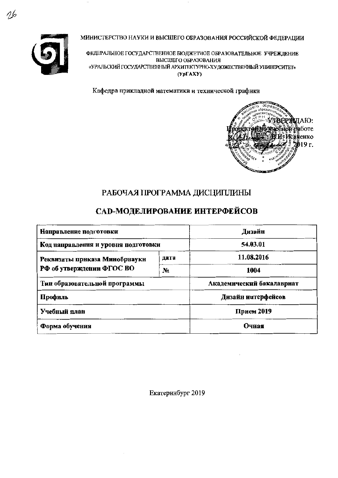

МИНИСТЕРСТВО НАУКИ И ВЫСШЕГО ОБРАЗОВАНИЯ РОССИЙСКОЙ ФЕДЕРАЦИИ

ФЕДЕРАЛЬНОЕ ГОСУДАРСТВЕННОЕ БЮДЖЕТНОЕ ОБРАЗОВАТЕЛЬНОЕ УЧРЕЖДЕНИЕ ВЫСШЕГО ОБРАЗОВАНИЯ «УРАЛЬСКИЙ ГОСУДАРСТВЕННЫЙ АРХИТЕКТУРНО-ХУДОЖЕСТВЕННЫЙ УНИВЕРСИТЕТ»  $(Yp\Gamma A X Y)$ 

Кафедра прикладной математики и технической графнки



# РАБОЧАЯ ПРОГРАММА ДИСЦИПЛИНЫ

# САД-МОДЕЛИРОВАНИЕ ИНТЕРФЕЙСОВ

| Направление подготовки              | Дизайн     |                           |  |  |
|-------------------------------------|------------|---------------------------|--|--|
| Код направления и уровня подготовки | 54,03.01   |                           |  |  |
| Реквизиты приказа Минобрнаукн       | дата       | 11.08.2016                |  |  |
| РФ об утверждении ФГОС ВО           | $N_2$      | 1004                      |  |  |
| Тип образовательной программы       |            | Академический бакалавриат |  |  |
| Профиль                             |            | Дизайн интерфейсов        |  |  |
| Учебный план                        | Прием 2019 |                           |  |  |
| Форма обучения                      | Очная      |                           |  |  |

Екатернибург 2019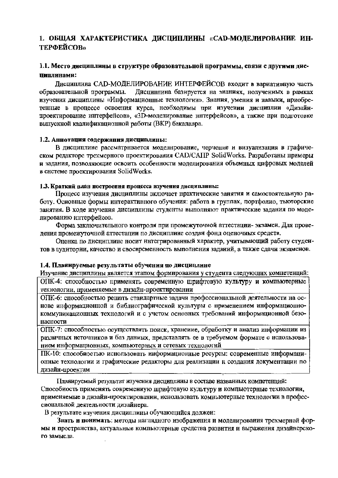## 1. ОБШАЯ ХАРАКТЕРИСТИКА ДИСЦИПЛИНЫ «САD-МОДЕЛИРОВАНИЕ ИН-**ТЕРФЕЙСОВ»**

### 1.1. Место дисциплины в структуре образовательной программы, связи с другими дис-ПИПЛИНАМИ:

Лиспиплина САD-МОДЕЛИРОВАНИЕ ИНТЕРФЕЙСОВ входит в вариативную часть Дисцинлина базируется на знаниях, нолученных в рамках образовательной программы. изучения дисциплины «Информационные технологии». Знания, умения и навыки, нриобретенные в процессе освоения курса, необходимы при изучении дисциплии «Дизайнпроектирование интерфейсов», «3D-моделирование ннтерфейсов», а также при подготовке выпускной квалификационной работы (ВКР) бакалавра.

#### 1.2. Аннотация содержания дисциплины:

В дисциплине рассматривается моделирование, черчение и визуализация в графическом редакторе трехмерного проектирования CAD/CAIIP SolidWorks. Разработаны примеры и задания, позволяющие освоить особенности моделирования объемных цифровых моделей в системе проектирования SolidWorks.

#### 1.3. Краткий план построения процесса изучения дисциплины:

Процесс изучения дисциплины включает практические занятия и самостоятельную работу. Основные формы интерактивного обучения: работа в группах, портфолио, тьюторские занятия. В ходе изучения дисциплины студенты выполняют практические задания по моделированию интерфейсов.

Форма заключительного контроля при промежуточной аттестации-экзамеи. Для проведения промежуточной аттестации по дисциплине создан фонд оценочных средств.

Оценка по дисциплине носит интегрированный характер, учитывающий работу студентов в аудитории, качество и своевременность выполнения заданий, а также сдачн экзаменов.

#### 1.4. Планируемые результаты обучения по дисциплине

Изучение дисциплины является этапом формирования у студента следующих компетенций: ОПК-4: способностью применять современную шрифтовую культуру и компьютерные технологии, применяемые в дизайн-проектировании

ОПК-6: способностью решать стандартные задачи профессиональной деятельности на основе информационной и библиографической культуры с применением информационнокоммуникационных технологий и с учетом основных требований информационной безонасности

ОПК-7: способностью осуществлять поиск, хранение, обработку и анализ информации из различных источпиков и баз даниых, представлять ее в требуемом формате с использованием информационных, компьютерных и сетевых технологий

ПК-10: способностью иснользовать информационные ресурсы: современные информационные технологии и графические редакторы для реализации и создания документации по дизайн-проектам

Планируемый результат изучения дисциплины в составе иазванных компетенций: Способность применять современную шрифтовую культуру и компьютерные технологии, применяемые в дизайн-проектировании, иснользовать комньютерные технологии в профессиональной деятельности дизайнера.

В результате изучения дисциплины обучающийся должеи:

Знать и поннмать: методы наглядного изображения и моделирования трехмерной формы и пространства, актуальные компьютерные средства развития и выражения дизайнерского замысла.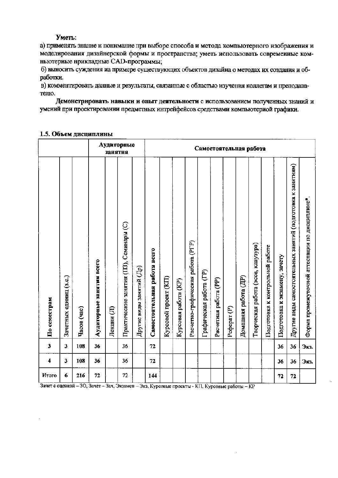#### Уметь:

а) применять знание и понимание при выборе способа и метода компьютерного изображения и моделирования дизайнерской формы и пространства; уметь использовать современные комньютериые нрикладные CAD-программы;

б) выносить суждения иа примере существующих объектов дизайна о методах их создания и обработки.

в) комментировать данные и результаты, связанные с областью изучения коллегам и преподавателю.

Демонстрировать навыки и опыт деятельности с использованием полученных знаний и умений при проектировании предметных интрейфейсов средствами компьютериой графики.

|                         |                        |             |                          | занятня    | Аудиторные                              |                                         | Самостоятельная работа       |                      |                      |                                   |                         |                       |             |                      |                                    |                                 |                               |                                                             |                                                |
|-------------------------|------------------------|-------------|--------------------------|------------|-----------------------------------------|-----------------------------------------|------------------------------|----------------------|----------------------|-----------------------------------|-------------------------|-----------------------|-------------|----------------------|------------------------------------|---------------------------------|-------------------------------|-------------------------------------------------------------|------------------------------------------------|
| По семестрам            | Зачетных единиц (з.е.) | Часов (час) | Аудиторные занятия всего | Лекции (Л) | Практические занятия (ПЗ), Семинары (С) | $\rm H$ ругие виды занятий ( $\rm H$ р) | Самостоятельная работа всего | Курсовой проект (КП) | Курсовая работа (КР) | Расчетно-графическая работа (РГР) | Графическая работа (ГР) | Расчетная работа (PP) | Реферат (Р) | Домашняя работа (ДР) | Творческая работа (эссе, клаузура) | Подготовка к контрольной работе | Подготовка к экзамену, зачету | Другие виды самостоятельных занятий (подготовка к занятиям) | Форма промежуточной аттестации по дисциплине*. |
| $\overline{\mathbf{3}}$ | 3                      | 108         | 36                       |            | 36                                      |                                         | 72                           |                      |                      |                                   |                         |                       |             |                      |                                    |                                 | 36                            | 36                                                          | Экз.                                           |
| 4                       | 3                      | 108         | 36                       |            | 36                                      |                                         | 72                           |                      |                      |                                   |                         |                       |             |                      |                                    |                                 | 36                            | 36                                                          | Экз.                                           |
| Итого                   | 6                      | 216         | 72                       |            | 72                                      |                                         | 144                          |                      |                      |                                   |                         |                       |             |                      |                                    |                                 | 72                            | 72                                                          |                                                |

#### 1.5. Объем дисциплины

Зачет с оценкой – 30, Зачет – Зач, Экзамен – Экз, Курсовые проекты - КП, Курсовые работы – КР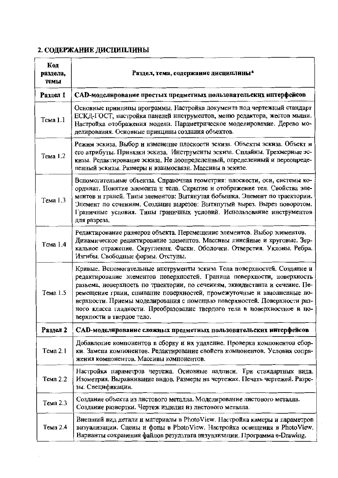# 2. СОДЕРЖАНИЕ ДИСЦИПЛИНЫ

| Код<br>раздела,<br>темы | Раздел, тема, содержание дисциплины*                                                                                                                                                                                                                                                                                                                                                                                                                                                                 |  |  |  |  |  |  |
|-------------------------|------------------------------------------------------------------------------------------------------------------------------------------------------------------------------------------------------------------------------------------------------------------------------------------------------------------------------------------------------------------------------------------------------------------------------------------------------------------------------------------------------|--|--|--|--|--|--|
| Раздел 1                | CAD-моделирование простых предметных пользовательских интерфейсов                                                                                                                                                                                                                                                                                                                                                                                                                                    |  |  |  |  |  |  |
| Тема 1.1                | Основные принципы программы. Настройка документа под чертежный стандарт<br>ЕСКД-ГОСТ, настройка панелей инструментов, меню редактора, жестов мыши.<br>Настройка отображения модели. Параметрическое моделирование. Дерево мо-<br>делирования. Основные принципы создания объектов.                                                                                                                                                                                                                   |  |  |  |  |  |  |
| Тема 1.2                | Режим эскиза. Выбор и измеиение плоскости эскиза. Объекты эскиза. Объект и<br>его атрибуты. Привязки эскиза. Инструменты эскиза. Сплайны. Трехмерные эс-<br>кизы. Редактирование эскиза. Не доопределенный, определенный и переопреде-<br>ленный эскизы. Размеры н взанмосвязи. Массивы в эскизе.                                                                                                                                                                                                    |  |  |  |  |  |  |
| Тема 1.3                | Вспомогательные объекты. Справочная геометрия: плоскости, оси, системы ко-<br>ординат. Понятие элемеита н тела. Скрытие и отображение тел. Свойства эле-<br>ментов н граней. Типы элементов: Вытяиутая бобышка. Элемент по траектории.<br>Элемент по сечениям. Создание вырезов: Вытяпутый вырез. Вырез поворотом.<br>Граничные условия. Типы граничных условий. Использование инструментов<br>для разреза.                                                                                          |  |  |  |  |  |  |
| Тема 1.4                | Редактирование размеров объекта. Перемещение элементов. Выбор элементов.<br>Дииамическое редактирование элементов. Массивы линейные и круговые. Зер-<br>кальное отражепие. Скругления. Фаски. Оболочки. Отверстия. Уклоны. Ребра.<br>Изгнбы. Свободные формы. Отступы.                                                                                                                                                                                                                               |  |  |  |  |  |  |
| Тема 1.5                | Кривые. Вспомогательные инструменты эскиза Тела поверхностей. Создание и<br>редактнрование элементов поверхпостей. Граница поверхпости, новерхность<br>разъема, новерхпость по траектории, по сечеииям, эквидистанта и сечеиие. Пе-<br>ремещение грани, сшивание поверхностей, промежуточные н занолненные но-<br>верхности. Приемы моделирования с помощью поверхностей. Поверхности раз-<br>ного класса гладкости. Преобразование твердого тела в поверхиостное и по-<br>верхпости в твердое тело. |  |  |  |  |  |  |
| Раздел 2                | CAD-моделирование сложных предметных пользовательских интерфейсов                                                                                                                                                                                                                                                                                                                                                                                                                                    |  |  |  |  |  |  |
| Тема 2.1                | Добавление компонентов в сборку и их удаление. Проверка компонентов сбор-<br>ки. Замепа компонентов. Редактирование свойств компонентов. Условия сопря-<br>жения компонентов. Массивы компонентов.                                                                                                                                                                                                                                                                                                   |  |  |  |  |  |  |
| Тема 2.2                | Настройка параметров чертежа. Осиовные падписи. Три стандартных вида.<br>Изометрия. Выравнивание видов. Размеры на чертежах. Печать чертежей. Разре-<br>зы. Спецификации.                                                                                                                                                                                                                                                                                                                            |  |  |  |  |  |  |
| Тема 2.3                | Создание объекта из листового металла. Моделирование листового металла.<br>Создание развертки. Чертеж изделия из листового металла.                                                                                                                                                                                                                                                                                                                                                                  |  |  |  |  |  |  |
| Тема 2.4                | Внешпий вид детали и материалы в PhotoView. Настройка камеры и параметров<br>визуализации. Сцены и фоны в PhotoView. Настройка освещения в PhotoView.<br>Варианты сохранения файлов результата визуализации. Программа e-Drawing.                                                                                                                                                                                                                                                                    |  |  |  |  |  |  |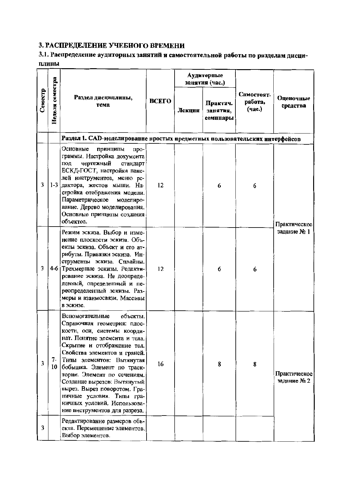# 3. РАСПРЕДЕЛЕНИЕ УЧЕБНОГО ВРЕМЕНИ

# 3.1. Распределение аудиторных занятий и самостоятельной работы по разделам дисци-ПЛИНЫ

|         |                 |                                                                                                                                                                                                                                                                                                                                                                                                                                                |              |        | Аудиторные<br>занятия (час.)     |                                 |                             |
|---------|-----------------|------------------------------------------------------------------------------------------------------------------------------------------------------------------------------------------------------------------------------------------------------------------------------------------------------------------------------------------------------------------------------------------------------------------------------------------------|--------------|--------|----------------------------------|---------------------------------|-----------------------------|
| Семестр | Неделя семестра | Раздел дисциплины,<br>тема                                                                                                                                                                                                                                                                                                                                                                                                                     | <b>ВСЕГО</b> | Лекцни | Практич.<br>занятия,<br>семннары | Самостоят.<br>работа,<br>(4ac.) | Оценочные<br>средства       |
|         |                 | Раздел 1. САD-моделирование простых предметных пользовательских интерфейсов                                                                                                                                                                                                                                                                                                                                                                    |              |        |                                  |                                 |                             |
| 3       |                 | Основные<br>принципы<br>про-<br>граммы. Настройка документа<br>чертежный<br>под<br>стандарт<br>ЕСКД-ГОСТ, настройка пане-<br>лей инструментов, меню ре-<br>1-3 дактора, жестов мыши. На-<br>стройка отображения модели.<br>Параметрическое<br>моделиро-<br>вание. Дерево моделирования.<br>Основные принципы создания<br>объектов.                                                                                                             | 12           |        | 6                                | 6                               | Практическое                |
| 3       |                 | Режим эскиза. Выбор и изме-<br>нение плоскости эскиза. Объ-<br>екты эскиза. Объект и его ат-<br>рибуты. Привязки эскиза. Ин-<br>струменты эскиза. Сплайны.<br>4-6 Трехмерные эскизы. Редакти-<br>рование эскиза. Не доопреде-<br>ленный, определенный и пе-<br>реопределенный эскизы. Раз-<br>меры и взаимосвязи. Массивы<br>в эскизе.                                                                                                         | 12           |        | 6                                | 6                               | задание № 1                 |
| 3       | 7-<br>10        | объекты.<br>Вспомогательные<br>Справочная геометрия: плос-<br>кости, оси, системы коорди-<br>нат. Понятие элемента и тела.<br>Скрытие и отображение тел.<br>Свойства элементов и граней.<br>Типы элементов: Вытянутая<br>бобышка. Элемент по траек-<br>тории. Элемент по сечениям.<br>Создание вырезов: Вытянутый<br>вырез. Вырез поворотом. Гра-<br>ничные условия. Типы гра-<br>ничных условий. Использова-<br>ние инструментов для разреза. | 16           |        | 8                                | 8                               | Практическое<br>заданне № 2 |
| 3       |                 | Редактирование размеров объ-<br>екта. Перемещение элементов.<br>Выбор элементов.                                                                                                                                                                                                                                                                                                                                                               |              |        |                                  |                                 |                             |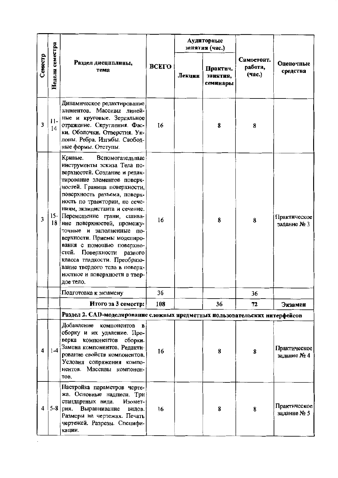|         |                 |                                                                                                                                                                                                                                                                                                                                                                                                                                                                                                                                                                         | Аудиторные<br>занятня (час.)<br><b>BCETO</b><br>Практич.<br>тема<br>Лекции<br>занятия,<br>семинары |  |    |                                 |                             |
|---------|-----------------|-------------------------------------------------------------------------------------------------------------------------------------------------------------------------------------------------------------------------------------------------------------------------------------------------------------------------------------------------------------------------------------------------------------------------------------------------------------------------------------------------------------------------------------------------------------------------|----------------------------------------------------------------------------------------------------|--|----|---------------------------------|-----------------------------|
| Семестр | Неделя семестра | Раздел дисциплины,                                                                                                                                                                                                                                                                                                                                                                                                                                                                                                                                                      |                                                                                                    |  |    | Самостоят.<br>работа,<br>(час.) | Оценочные<br>средства       |
| 3       | $11-$<br>14     | Динамическое редактирование<br>элементов. Массивы линей-<br>ные и круговые. Зеркальное<br>отражение. Скругления. Фас-<br>ки. Оболочки. Отверстия. Ук-<br>лоны. Ребра. Изгибы. Свобод-<br>ные формы. Отступы.                                                                                                                                                                                                                                                                                                                                                            | 16                                                                                                 |  | 8  | 8                               |                             |
| 3       | 18              | Кривые.<br>Вспомогательные<br>инструменты эскиза Тела по-<br>верхностей. Создание и редак-<br>тирование элементов поверх-<br>ностей. Граница поверхности,<br>поверхность разъема, поверх-<br>ность по траектории, по сече-<br>ниям, эквидистанта и сечение.<br>15- Перемещение грани, сшива-<br>ние поверхностей, промежу-<br>точные и<br>заполненные<br>ПО-<br>верхности. Приемы моделиро-<br>вания с помощью поверхно-<br>стей.<br>Поверхности разного<br>класса гладкости. Преобразо-<br>вание твердого тела в поверх-<br>ностное и поверхности в твер-<br>дое тело. | 16                                                                                                 |  | 8  | 8                               | Практическое<br>задание № 3 |
|         |                 | Подготовка к экзамену                                                                                                                                                                                                                                                                                                                                                                                                                                                                                                                                                   | 36                                                                                                 |  |    | 36                              |                             |
|         |                 | Итого за 3 семестр:                                                                                                                                                                                                                                                                                                                                                                                                                                                                                                                                                     | 108                                                                                                |  | 36 | 72                              | Экзамен                     |
|         |                 | Раздел 2. САD-моделирование сложных нредметных нользовательских интерфейсов                                                                                                                                                                                                                                                                                                                                                                                                                                                                                             |                                                                                                    |  |    |                                 |                             |
| 4       | $1-4$           | Добавление компонентов в<br>сборку и их удаление. Про-<br>верка компонентов сборки.<br>Замена компонентов. Редакти-<br>рование свойств компонентов.<br>Условия сопряжения компо-<br>нентов. Массивы компонен-<br>TOB.                                                                                                                                                                                                                                                                                                                                                   | 16                                                                                                 |  | 8  | 8                               | Практическое<br>задание № 4 |
| 4       | $5-8$           | Настройка параметров черте-<br>жа. Основные надписи. Три<br>стандартных вида.<br>Изомет-<br>рия. Выравнивание<br>видов.<br>Размеры на чертежах. Печать<br>чертежей. Разрезы. Специфи-<br>кации.                                                                                                                                                                                                                                                                                                                                                                         | 16                                                                                                 |  | 8  | 8                               | Практическое<br>заданне № 5 |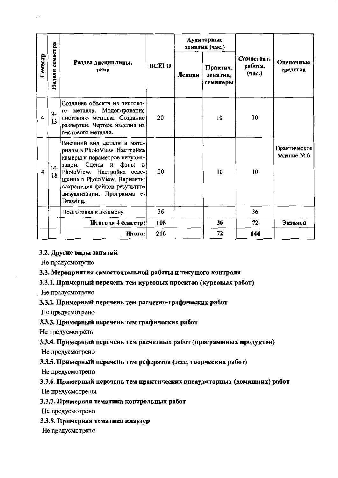|         |                 |                                                                                                                                                                                                                                                            |              |        | Аудиторные<br>занятия (час.)     |                                 |                             |  |
|---------|-----------------|------------------------------------------------------------------------------------------------------------------------------------------------------------------------------------------------------------------------------------------------------------|--------------|--------|----------------------------------|---------------------------------|-----------------------------|--|
| Семестр | Неделя семестра | Раздел дисциплины,<br>тема                                                                                                                                                                                                                                 | <b>BCETO</b> | Лекцни | Практич.<br>занятия,<br>семинары | Самостоят.<br>работа,<br>(час.) | Оцепочные<br>средства       |  |
| 4       | $9-$<br>13      | Создание объекта из листово-<br>го металла. Моделирование<br>листового металла. Создание<br>развертки. Чертеж изделия из<br>листового металла.                                                                                                             | 20           |        | 10                               | 10                              |                             |  |
| 4       | $14-$<br>18     | Внешний вид детали и мате-<br>риалы в PhotoView. Настройка<br>камеры и параметров визуали-<br>зации. Сцены и фоны в<br>PhotoView. Настройка осве-<br>щения в PhotoView. Варианты<br>сохранения файлов результата<br>визуализации. Программа е-<br>Drawing. | 20           |        | 10                               | 10                              | Практическое<br>задание № 6 |  |
|         |                 | Подготовка к экзамену                                                                                                                                                                                                                                      | 36           |        |                                  | 36                              |                             |  |
|         |                 | Итого за 4 семестр:                                                                                                                                                                                                                                        | 108          |        | 36                               | 72                              | Экзамен                     |  |
|         |                 | Итого:                                                                                                                                                                                                                                                     | 216          |        | 72                               | 144                             |                             |  |

#### 3.2. Другие виды занятий

Не предусмотрено

#### 3.3. Мероприятия самостоятельной работы и текущего контроля

#### 3.3.1. Примерный перечень тем курсовых проектов (курсовых работ)

Не предусмотрено

#### 3.3.2. Примерный перечень тем расчетно-графических работ

Не предусмотрено

#### 3.3.3. Примерный перечень тем графических работ

Не предусмотрено

#### 3.3.4. Примерный перечень тем расчетных работ (программных продуктов)

Не предусмотрено

#### 3.3.5. Примерный перечень тем рефератов (эссе, творческих работ)

Не предусмотрено

#### 3.3.6. Примерный перечень тем практических внеаудиторных (домашних) работ

Не предусмотрены

#### 3.3.7. Примерная тематика контрольных работ

Не предусмотрено

#### 3.3.8. Примерная тематика клаузур

Не предусмотрено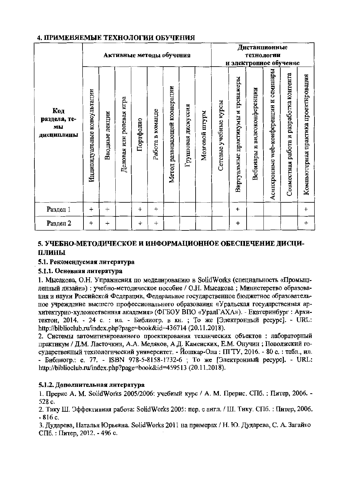|                                         |                             |                   | Активные методы обучения |                 |                  | Дистанционные<br>технологии<br>и электронное обучение |                        |                |                       |                                    |                                   |                                           |                                         |                                      |
|-----------------------------------------|-----------------------------|-------------------|--------------------------|-----------------|------------------|-------------------------------------------------------|------------------------|----------------|-----------------------|------------------------------------|-----------------------------------|-------------------------------------------|-----------------------------------------|--------------------------------------|
| Код<br>раздела, те-<br>МЫ<br>ДИСЦИПЛИНЫ | Индивидуальные консультации | лекции<br>Вводные | Деловая или ролевая игра | Портфолио       | Работа в команде | Метод развивающей коонерации                          | дискуссия<br>Групповая | Мозговой штурм | Сетевые учебные курсы | Виртуальные практикумы и тренажеры | видеоконференции<br>H<br>Вебинары | web-конференции н семннары<br>Асинхронные | Совместная работа и разработка контента | Компьютерная практика проектирования |
| Раздел 1                                | $\ddot{}$                   | $\div$            |                          | $\ddot{}$       | $\ddot{}$        |                                                       |                        |                |                       | $\ddot{}$                          |                                   |                                           |                                         | $\ddot{}$                            |
| Раздел 2                                | ÷                           | $\boldsymbol{+}$  |                          | $^{\mathrm{+}}$ | $\boldsymbol{+}$ |                                                       |                        |                |                       | $\mathbf +$                        |                                   |                                           |                                         | $\ddot{}$                            |

## 4. ПРИМЕНЯЕМЫЕ ТЕХНОЛОГИИ ОБУЧЕНИЯ

## 5. УЧЕБНО-МЕТОДИЧЕСКОЕ И ИНФОРМАЦИОННОЕ ОБЕСПЕЧЕНИЕ ДИСЦИ-ПЛИНЫ

#### 5.1. Рекомендуемая литература

## 5.1.1. Основная литература

1. Мысакова, О.Н. Упражнения по моделированию в SolidWorks (специальность «Промышленный дизайн»): учебно-методическое пособие / О.Н. Мысакова; Министерство образования и науки Российской Федерации, Федеральное государственное бюджетное образовательное учреждение высшего профессионального образования «Уральская государственная архитектурио-художественная академия» (ФГБОУ ВПО «УралГАХА»). - Екатеринбург : Архитектон, 2014. - 24 с. : ил. - Библиогр. в кн. ; То же [Электронный ресурс]. - URL: http://biblioclub.ru/index.php?page=book&id=436714 (20.11.2018).

2. Системы автоматизированного проектирования технических объектов: лабораторный практикум / Д.М. Ласточкин, А.А. Медяков, А.Д. Каменских, Е.М. Онучин; Поволжский государственный технологический университет. - Йошкар-Ола: ПГТУ, 2016. - 80 с.: табл., ил. - Библиогр.: с. 77. - ISBN 978-5-8158-1732-6 ; То же [Электронный ресурс]. - URL: http://biblioclub.ru/index.php?page=book&id=459513 (20.11.2018).

#### 5.1.2. Дополнительная литература

1. Прерис А. М. SolidWorks 2005/2006: учебиый курс / А. М. Прерис. СПб.: Питер, 2006. -528 c.

2. Тику Ш. Эффективная работа: SolidWorks 2005: пер. с англ. / Ш. Тику. СПб. : Питер, 2006.  $-816c$ .

3. Дударева, Наталья Юрьевна. SolidWorks 2011 на примерах / Н. Ю. Дударева, С. А. Загайко СПб.: Питер, 2012. - 496 с.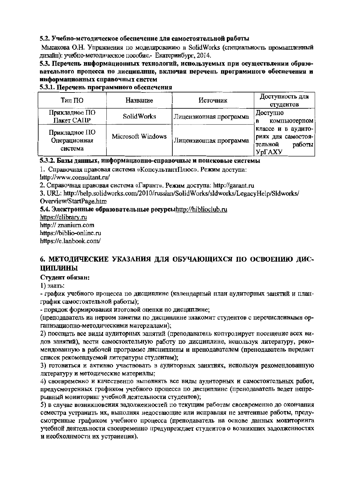#### 5.2. Учебно-методическое обеспечение для самостоятельной работы

Мысакова О.Н. Упражнения по моделированию в SolidWorks (специальность промышленный лизайн): учебно-методическое пособие.- Екатеринбург, 2014.

5.3. Перечень информационных технологий, используемых при осуществлении образовательного процесса по дисциплние, включая перечень программного обеспечения и информационных справочных систем

#### 5.3.1. Перечень программного обеспечения

| Тип ПО        | Название          | Источник               | Доступность для    |  |  |
|---------------|-------------------|------------------------|--------------------|--|--|
|               |                   |                        | студентов          |  |  |
| Прикладное ПО | <b>SolidWorks</b> | Лицензионная программа | Доступно           |  |  |
| Пакет САПР    |                   |                        | компьютерном<br>B  |  |  |
| Прикладное ПО |                   |                        | классе и в аудито- |  |  |
| Операционная  | Microsoft Windows |                        | риях для самостоя- |  |  |
|               |                   | Лицензионная программа | работы<br>'тельной |  |  |
| система       |                   |                        | УрГАХУ             |  |  |

#### 5.3.2. Базы данных, информационно-справочные и поисковые системы

1. Справочная правовая система «КопсультантПлюс». Режим доступа:

littp://www.consultant.ru/

2. Справочная правовая система «Гарант». Режим доступа: http://garant.ru

3. URL: http://help.solidworks.com/2010/russian/SolidWorks/sldworks/LegacyHelp/Sldworks/ Overview/StartPage.htm

5.4. Электронные образовательные ресурсынttp://hiblioclub.ru

https://elibrary.ru http:// znanium.com https://biblio-online.ru https://e.lanbook.com/

# 6. МЕТОДИЧЕСКИЕ УКАЗАНИЯ ДЛЯ ОБУЧАЮЩИХСЯ ПО ОСВОЕНИЮ ДИС-ЦИПЛИНЫ

#### Студент обязан:

1) знать:

- график учебного процесса по дисциплине (календарный план аудиторных занятий и планграфик самостоятельной работы);

- порядок формирования итоговой оценки по дисциплине;

(преподаватель на нервом занятии по дисцинлине знакомнт студентов с перечисленными организациопно-методическими материалами);

2) посещать все виды аудиторных занятий (преподаватель коптролирует посещение всех видов занятий), вести самостоятельную работу по дисциплине, используя литературу, рекомендованную в рабочей программе дисциплины и нренодавателем (пренодаватель передает список рекомендуемой литературы студентам);

3) готовиться и активно участвовать в аудиторных занятиях, используя рекомендованную литературу и методические материалы;

4) своевременно и качественно выполнять все виды аудиторных и самостоятельных работ, предусмотренных графнком учебного процесса по днециплине (пренодаватель ведет непрерывный моинторинг учебной деятельности студентов);

5) в случае возникповения задолженностей по текущим работам своевременно до окончания семестра устранить их, выполняя недостающие или исправляя не зачтенные работы, предусмотренные графиком учебного процесса (преподаватель на основе данных мониторинга учебной деятельности своевременно предупреждает студеитов о возникших задолженностях и необходнмостн их устраиепия).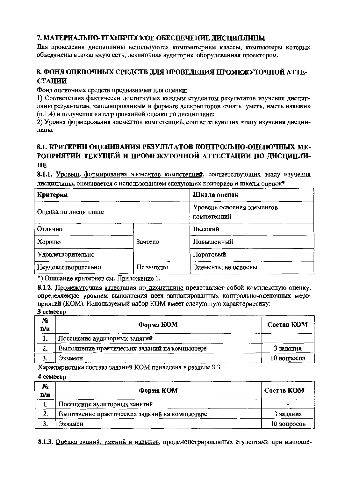# 7. МАТЕРИАЛЬНО-ТЕХНИЧЕСКОЕ ОБЕСПЕЧЕНИЕ ДИСЦИПЛИНЫ

Для проведения дисциплины используются компьютерные классы, компьютеры которых объединены в локальную сеть, лекционная аудитория, оборудованная проектором.

# 8. ФОНД ОПЕНОЧНЫХ СРЕДСТВ ДЛЯ ПРОВЕДЕНИЯ ПРОМЕЖУТОЧНОЙ АТТЕ-**СТАЦИИ**

Фонд оценочных средств предназначен для оценки:

1) Соответствия фактически достигнутых каждым студентом результатов изучения диспиплины результатам, запланированным в формате дескрипторов «знать, уметь, иметь навыки» (п.1.4) и получения интегрированной оценки по дисциплине:

2) Уровня формирования элементов компетенций, соответствующих этапу изучения дисцинлины.

# 8.1. КРИТЕРИИ ОПЕНИВАНИЯ РЕЗУЛЬТАТОВ КОНТРОЛЬНО-ОПЕНОЧНЫХ МЕ-РОПРИЯТИЙ ТЕКУЩЕЙ И ПРОМЕЖУТОЧНОЙ АТТЕСТАЦИИ ПО ДИСЦИПЛИ-HE.

8.1.1. Уровень формирования элементов компетенций, соответствующих этапу изучения дисциплины, оценивается с использованием следующих критериев и шкалы оценок\*

| Критерии             |            | Шкала оценок                              |  |  |  |
|----------------------|------------|-------------------------------------------|--|--|--|
| Оценка но дисциплине |            | Уровень освоения элементов<br>компетенций |  |  |  |
| Отлично              |            | Высокий                                   |  |  |  |
| Xopomo               | Зачтено    | Повышенный                                |  |  |  |
| Удовлетворительно    |            | Пороговый                                 |  |  |  |
| Неудовлетворительно  | Не зачтено | Элементы не освоены                       |  |  |  |

\*) Описание крнтернев см. Приложение 1.

8.1.2. Промежуточная аттестация но дисциплине представляет собой комплексную оценку, определяемую уровнем выполнения всех запланированных контрольно-оценочных мероприятий (KOM). Иснользуемый набор KOM имеет следующую характеристику:

3 семестр

| N.<br>n/n | Форма КОМ                                     | Состав КОМ  |
|-----------|-----------------------------------------------|-------------|
|           | Посещение аудиторных занятий                  |             |
| 2.        | Выполнение практических заданий на компьютере | 3 задания   |
|           | Экзамен                                       | 10 вопросов |
|           |                                               |             |

Характеристика состава заданий КОМ приведена в разделе 8.3.

#### 4 семестр

| $N_2$<br>n/n | Форма КОМ                                     | Состав КОМ  |
|--------------|-----------------------------------------------|-------------|
|              | Посещение аудиторных занятий                  | -           |
| 2.           | Выполнение практических заданий на компьютере | 3 задания   |
| J.           | . Экзамен                                     | 10 вопросов |

8.1.3. Оценка зианий, умений и навыков, продемонстрированных студентами прн выполне-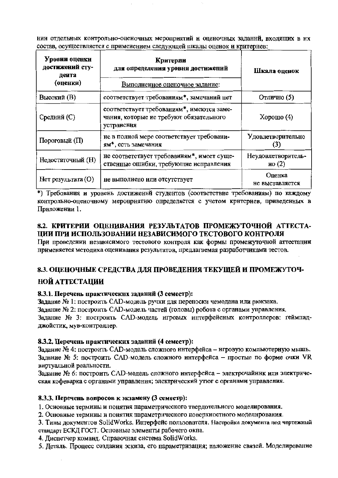нии отдельных контрольно-оценочных мероприятий н оценочных заданни, входящих в нх состав, осуществляется с применением следующей шкалы оценок и критериев:

| Уровни оценки<br>достижений сту-<br>дента<br>(оценки) | Критерии<br>для определения уровня достижений<br>Выполненное оценочное заданне:                    | Шкала оценок                   |
|-------------------------------------------------------|----------------------------------------------------------------------------------------------------|--------------------------------|
| Высокий (В)                                           | соответствует требованиям*, замечаний нет                                                          | Отлично (5)                    |
| Средний (С)                                           | соответствует требованиям*, имеются заме-<br>чания, которые не требуют обязательного<br>устранения | $X$ орошо $(4)$                |
| Пороговый (П)                                         | не в полной мере соответствует требовани-<br>ям*, есть замечания                                   | Удовлетворительно              |
| Недостаточный (Н)                                     | не соответствует требованиям*, имеет суще-<br>ственные ошибки, требующне исправления               | Неудовлетворитель-<br>но $(2)$ |
| Нет результата (O)                                    | не выполнено или отсутствует                                                                       | Оценка<br>не выставляется      |

\*) Требования и уровень достижений студентов (соответствие требованиям) по каждому контрольно-оценочному мероприятию определяется с учетом критериев, приведенных в Приложении 1.

# 8.2. КРИТЕРИИ ОПЕНИВАНИЯ РЕЗУЛЬТАТОВ ПРОМЕЖУТОЧНОЙ АТТЕСТА-ЦИИ ПРИ ИСПОЛЬЗОВАНИИ НЕЗАВИСИМОГО ТЕСТОВОГО КОНТРОЛЯ

При проведении незавнсимого тестового контроля как формы промежуточной аттестации применяется методика оценивания результатов, предлагаемая разработчиками тестов.

# 8.3. ОЦЕНОЧНЫЕ СРЕДСТВА ДЛЯ ПРОВЕДЕНИЯ ТЕКУЩЕЙ И ПРОМЕЖУТОЧ-**НОЙ АТТЕСТАЦИИ**

#### 8.3.1. Перечень практических заданий (3 семестр):

Задание № 1: построить CAD-модель ручки для переноски чемодана или рюкзака.

Заданне № 2: постронть CAD-модель частей (головы) робота с органами управления.

Заданне № 3: постронть CAD-модель игровых интерфейсных контроллеров: геймпадджойстик, мув-контроллер.

#### 8.3.2. Перечень практических заданий (4 семестр):

Заданне № 4: построить CAD-модель сложного нитерфейса - нгровую компьютерную мышь. Задание № 5: построить CAD-модель сложного интерфейса - простые по форме очки VR виртуальной реальности.

Задание № 6: построить CAD-модель сложного интерфейса - электрочайник или электрическая кофеварка с органами управления; электрический утюг с органами управления.

#### 8.3.3. Перечень вопросов к экзамену (3 семестр):

1. Основные термины и понятия параметрического твердотельного моделирования.

2. Основные термнны и понятия параметрического поверхностного моделирования.

3. Тины документов SolidWorks. Интерфейс пользователя. Настройка документа под чертежный стандарт ЕСКД ГОСТ. Осповные элементы рабочего окна.

4. Диспетчер команд. Справочная снстема SolidWorks.

5. Деталь. Процесс создания эскиза, его параметризация; паложенне связей. Моделирование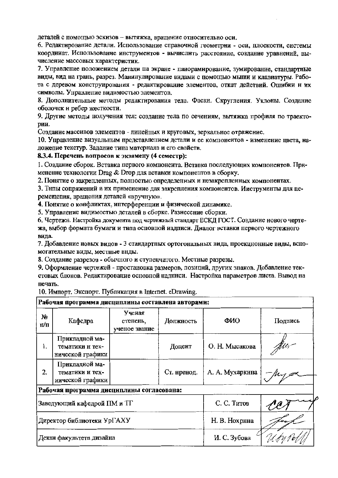деталей с помощью эскизов - вытяжка, вращение относительно оси.

6. Редактирование детали. Использование справочной геометрии - оси, плоскости, системы координат. Использование инструментов - вычислить расстояние, создание уравнений, вычисление массовых характеристик.

7. Управление положением детали на экране - панорамнрование, зумирование, стандартные виды, вид на грань, разрез. Манипулирование видами с помощью мыши и клавиатуры. Работа с деревом конструирования - редактирование элементов, откат действий. Ошибки н их символы. Управление видимостью элементов.

8. Дополнительные методы редактирования тела. Фаски. Скругления. Уклоны. Создание оболочек н ребер жесткости.

9. Другие методы получения тел: создание тела по сечениям, вытяжка профиля по траектории.

Создание массивов элементов - линейных и круговых, зеркальное отражение.

10. Управление визуальным представлением детали и ее компонентов - изменение цвета, наложепие текстур. Задание типа матернала и его свойств.

#### 8.3.4. Перечень вопросов к экзамену (4 семестр):

1. Создание сборок. Вставка первого компонента. Вставка последующих компонентов. Примененне технологии Drag & Drop для вставки компонентов в сборку.

2. Понятие о закрепленных, полностью определенных и незакрепленных компонентах.

3. Тнпы сопряжений и их прнменение для закрепления компонентов. Ииструменты для перемещения, вращения деталей «вручную».

4. Понятие о конфликтах, иптерференции и физнческой динамике.

5. Управление вилимостью деталей в сборке. Разнесение сборки.

6. Чертежн. Настройка документа под чертежный стандарт ЕСКД ГОСТ. Создание нового чертежа, выбор формата бумаги и типа основной иадписи. Диалог вставки первого чертежного вила.

7. Добавление новых видов - 3 стандартных ортогональных вида, проекционные виды, вспомогательные виды, местные внды.

8. Создание разрезов - обычного и ступенчатого. Местные разрезы.

9. Оформление чертежей - простановка размеров, позиций, других знаков. Добавление текстовых блоков. Редактирование основной надписи. Настройка параметров листа. Вывод на нечать.

10. Импорт. Экспорт. Публикация в Internet. eDrawing.

| Рабочая программа дисциплины составлена авторами: |                                                       |                                     |               |                 |         |  |  |  |  |
|---------------------------------------------------|-------------------------------------------------------|-------------------------------------|---------------|-----------------|---------|--|--|--|--|
| N2<br>п/п                                         | Кафедра                                               | Ученая<br>стенень,<br>ученое звание | Должность     | ФИО             | Подпись |  |  |  |  |
| 1.                                                | Прикладной ма-<br>тематики н тех-<br>нической графики |                                     | Доцент        | О. Н. Мысакова  | Are,    |  |  |  |  |
| 2.                                                | Прикладной ма-<br>тематики и тех-<br>иической графики |                                     | Ст. нренод.   | А. А. Мухаркина |         |  |  |  |  |
| Рабочая программа дисциплины согласована:         |                                                       |                                     |               |                 |         |  |  |  |  |
|                                                   | Заведующий кафедрой ПМ и ТГ                           |                                     | С. С. Титов   |                 |         |  |  |  |  |
|                                                   | Директор библиотеки УрГАХУ                            |                                     | Н. В. Нохрнна |                 |         |  |  |  |  |
|                                                   | Декан факультета дизайна                              |                                     | И. С. Зубова  |                 |         |  |  |  |  |